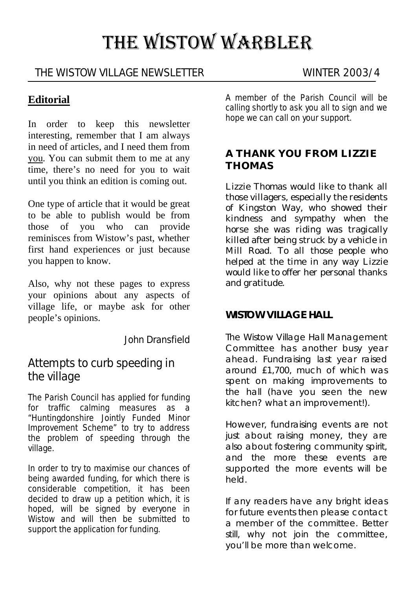# THE WISTOW WARBLER

### THE WISTOW VILLAGE NEWSLETTER WINTER 2003/4

#### **Editorial**

In order to keep this newsletter interesting, remember that I am always in need of articles, and I need them from you. You can submit them to me at any time, there's no need for you to wait until you think an edition is coming out.

One type of article that it would be great to be able to publish would be from those of you who can provide reminisces from Wistow's past, whether first hand experiences or just because you happen to know.

Also, why not these pages to express your opinions about any aspects of village life, or maybe ask for other people's opinions.

John Dransfield

## Attempts to curb speeding in the village

The Parish Council has applied for funding for traffic calming measures as a "Huntingdonshire Jointly Funded Minor Improvement Scheme" to try to address the problem of speeding through the village.

In order to try to maximise our chances of being awarded funding, for which there is considerable competition, it has been decided to draw up a petition which, it is hoped, will be signed by everyone in Wistow and will then be submitted to support the application for funding.

A member of the Parish Council will be calling shortly to ask you all to sign and we hope we can call on your support.

#### **A THANK YOU FROM LIZZIE THOMAS**

Lizzie Thomas would like to thank all those villagers, especially the residents of Kingston Way, who showed their kindness and sympathy when the horse she was riding was tragically killed after being struck by a vehicle in Mill Road. To all those people who helped at the time in any way Lizzie would like to offer her personal thanks and gratitude.

#### **WISTOW VILLAGE HALL**

The Wistow Village Hall Management Committee has another busy year ahead. Fundraising last year raised around £1,700, much of which was spent on making improvements to the hall (have you seen the new kitchen? what an improvement!).

However, fundraising events are not just about raising money, they are .<br>also about fostering community spirit, and the more these events are supported the more events will be held.

If any readers have any bright ideas for future events then please contact a member of the committee. Better still, why not join the committee, you'll be more than welcome.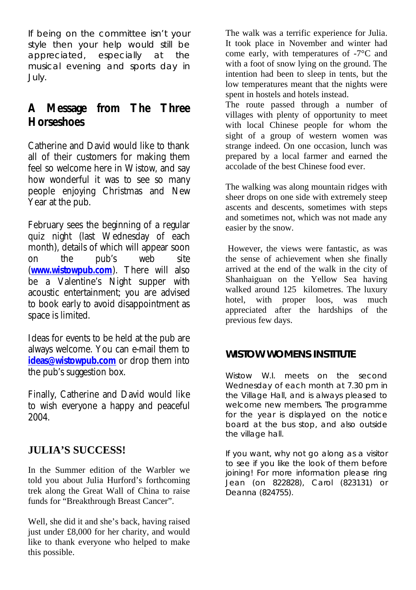If being on the committee isn't your style then your help would still be appreciated, especially at the musical evening and sports day in July.

# **A Message from The Three Horseshoes**

Catherine and David would like to thank all of their customers for making them feel so welcome here in Wistow, and say how wonderful it was to see so many people enjoying Christmas and New Year at the pub.

February sees the beginning of a regular quiz night (last Wednesday of each month), details of which will appear soon on the pub's web site (**www.wistowpub.com**). There will also be a Valentine's Night supper with acoustic entertainment; you are advised to book early to avoid disappointment as space is limited.

Ideas for events to be held at the pub are always welcome. You can e-mail them to **ideas@wistowpub.com** or drop them into the pub's suggestion box.

Finally, Catherine and David would like to wish everyone a happy and peaceful 2004.

## **JULIA'S SUCCESS!**

In the Summer edition of the Warbler we told you about Julia Hurford's forthcoming trek along the Great Wall of China to raise funds for "Breakthrough Breast Cancer".

Well, she did it and she's back, having raised just under £8,000 for her charity, and would like to thank everyone who helped to make this possible.

The walk was a terrific experience for Julia. It took place in November and winter had come early, with temperatures of -7°C and with a foot of snow lying on the ground. The intention had been to sleep in tents, but the low temperatures meant that the nights were spent in hostels and hotels instead.

The route passed through a number of villages with plenty of opportunity to meet with local Chinese people for whom the sight of a group of western women was strange indeed. On one occasion, lunch was prepared by a local farmer and earned the accolade of the best Chinese food ever.

The walking was along mountain ridges with sheer drops on one side with extremely steep ascents and descents, sometimes with steps and sometimes not, which was not made any easier by the snow.

 However, the views were fantastic, as was the sense of achievement when she finally arrived at the end of the walk in the city of Shanhaiguan on the Yellow Sea having walked around 125 kilometres. The luxury hotel, with proper loos, was much appreciated after the hardships of the previous few days.

## **WISTOW WOMENS INSTITUTE**

Wistow W.I. meets on the second Wednesday of each month at 7.30 pm in the Village Hall, and is always pleased to welcome new members. The programme for the year is displayed on the notice board at the bus stop, and also outside the village hall.

If you want, why not go along as a visitor to see if you like the look of them before joining! For more information please ring Jean (on 822828), Carol (823131) or Deanna (824755).